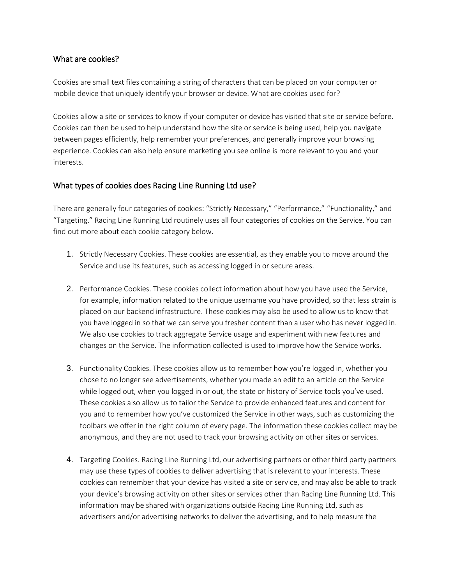#### What are cookies?

Cookies are small text files containing a string of characters that can be placed on your computer or mobile device that uniquely identify your browser or device. What are cookies used for?

Cookies allow a site or services to know if your computer or device has visited that site or service before. Cookies can then be used to help understand how the site or service is being used, help you navigate between pages efficiently, help remember your preferences, and generally improve your browsing experience. Cookies can also help ensure marketing you see online is more relevant to you and your interests.

# What types of cookies does Racing Line Running Ltd use?

There are generally four categories of cookies: "Strictly Necessary," "Performance," "Functionality," and "Targeting." Racing Line Running Ltd routinely uses all four categories of cookies on the Service. You can find out more about each cookie category below.

- 1. Strictly Necessary Cookies. These cookies are essential, as they enable you to move around the Service and use its features, such as accessing logged in or secure areas.
- 2. Performance Cookies. These cookies collect information about how you have used the Service, for example, information related to the unique username you have provided, so that less strain is placed on our backend infrastructure. These cookies may also be used to allow us to know that you have logged in so that we can serve you fresher content than a user who has never logged in. We also use cookies to track aggregate Service usage and experiment with new features and changes on the Service. The information collected is used to improve how the Service works.
- 3. Functionality Cookies. These cookies allow us to remember how you're logged in, whether you chose to no longer see advertisements, whether you made an edit to an article on the Service while logged out, when you logged in or out, the state or history of Service tools you've used. These cookies also allow us to tailor the Service to provide enhanced features and content for you and to remember how you've customized the Service in other ways, such as customizing the toolbars we offer in the right column of every page. The information these cookies collect may be anonymous, and they are not used to track your browsing activity on other sites or services.
- 4. Targeting Cookies. Racing Line Running Ltd, our advertising partners or other third party partners may use these types of cookies to deliver advertising that is relevant to your interests. These cookies can remember that your device has visited a site or service, and may also be able to track your device's browsing activity on other sites or services other than Racing Line Running Ltd. This information may be shared with organizations outside Racing Line Running Ltd, such as advertisers and/or advertising networks to deliver the advertising, and to help measure the